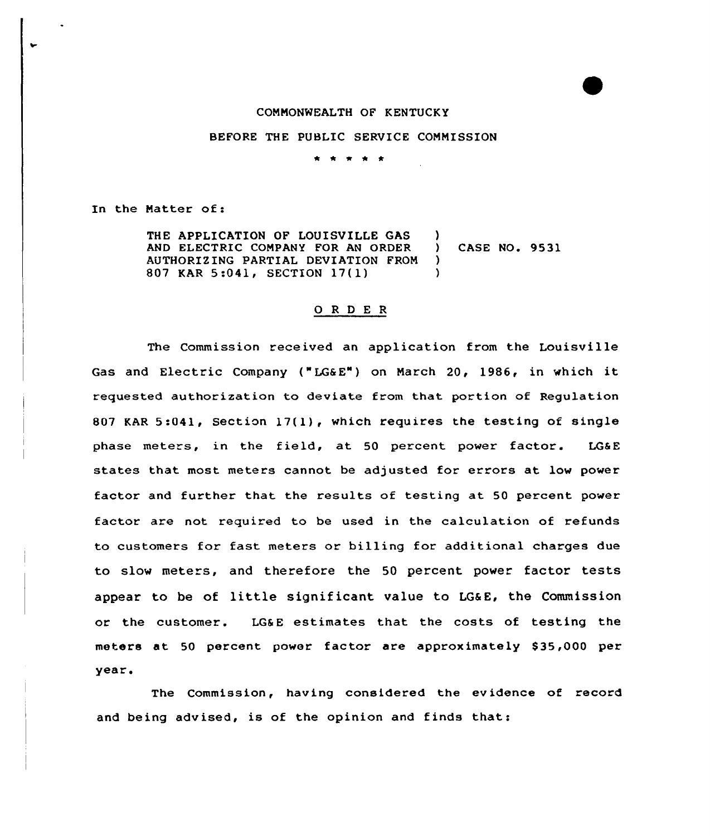## CONNONWEALTH OF KENTUCKY

## BEFORE THE PUBLIC SERVICE COMMISSION

\* \* 4 \* \*

In the Natter of:

THE APPLICATION OF LOUISVILLE GAS (a)<br>AND ELECTRIC COMPANY FOR AN ORDER (b) AND ELECTRIC COMPANY FOR AN ORDER ) CASE NO. 9531 AUTHORIZING PARTIAL DEVIATION FROM )<br>807 KAR 5:041, SECTION 17(1) ) 807 KAR 5:041, SECTION 17(1)

## 0 <sup>R</sup> <sup>D</sup> E <sup>R</sup>

The Commission received an application from the Louisville Gas and Electric Company ("LG&E") on March 20, 1986, in which it requested authorization to deviate from that portion of Regulation 807 KAR 5:041, Section 17(1), which requires the testing of single phase meters, in the field, at 50 percent power factor. LG&E states that most meters cannot be adjusted for errors at low power factor and further that the results of testing at 50 percent power factor are not required to be used in the calculation of refunds to customers for fast meters or billing for additional charges due to slow meters, and therefore the 50 percent power factor tests appear to be of little significant value to LG&E, the Commission or the customer. LG&E estimates that the costs of testing the meters at 50 percent power factor are approximately \$35,000 per year.

The Commission, having considered the evidence of record and being advised, is of the opinion and finds thats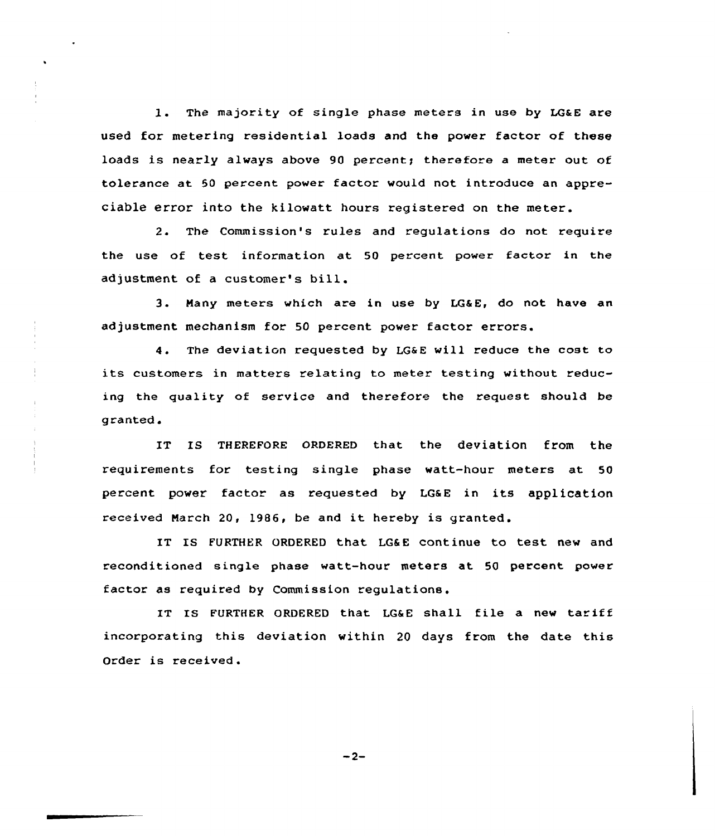1. The majority of single phase meters in use by LG&E are used for metering residential loads and the power factor of these loads is nearly always above 90 percent; therefore a meter out of tolerance at 50 percent power factor would not introduce an appreciable error into the kilowatt hours registered on the meter.

2. The Commission's rules and regulations do not require the use of test information at 50 percent power factor in the adjustment of <sup>a</sup> customer's bill.

3. Many meters which are in use by LGSE, do not have an adjustment mechanism for 50 percent power factor errors.

4. The deviation requested by LG&E will reduce the cost to its customers in matters relating to meter testing without reducing the quality of service and therefore the request should be granted.

IT Is THEREFoRE oRDERED that the deviation from the requirements for testing single phase watt-hour meters at 50 percent power factor as requested by LGaE in its application received March 20, 1986, be and it hereby is granted.

IT IS FURTHER ORDERED that LG&E continue to test new and reconditioned single phase watt-hour meters at 50 percent power factor as required by Commission regulations.

IT IS FURTHER ORDERED that LG&E shall file a new tariff incorporating this deviation within 20 days from the date this Order is received.

 $-2-$